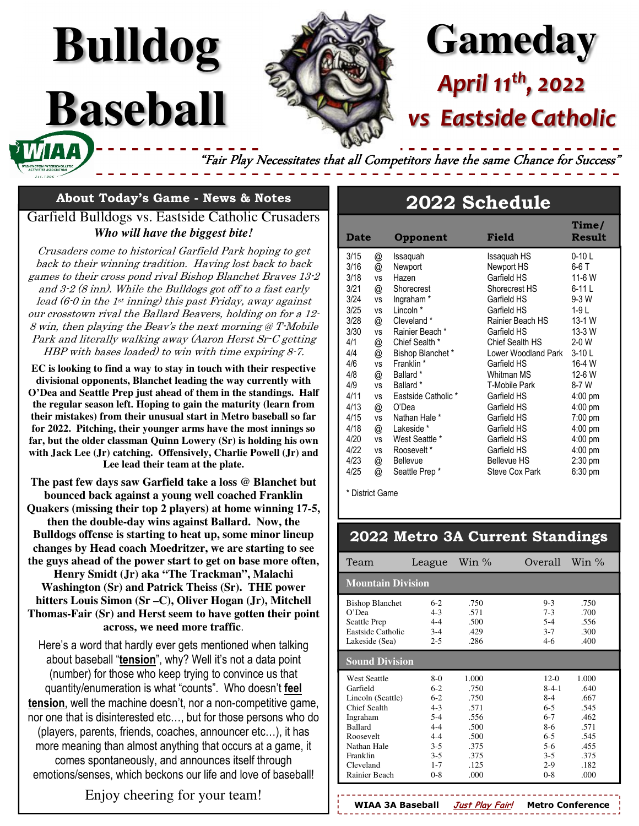# **Gameday** *April 11th, 2022*

## **Eastside Catholic**

"Fair Play Necessitates that all Competitors have the same Chance for Success'

#### **About Today's Game - News & Notes**

**Bulldog**

**Baseball** 

Garfield Bulldogs vs. Eastside Catholic Crusaders *Who will have the biggest bite!* 

Crusaders come to historical Garfield Park hoping to get back to their winning tradition. Having lost back to back games to their cross pond rival Bishop Blanchet Braves 13-2 and 3-2 (8 inn). While the Bulldogs got off to a fast early lead  $(6\n-0$  in the  $1\n st$  inning) this past Friday, away against our crosstown rival the Ballard Beavers, holding on for a 12- 8 win, then playing the Beav's the next morning @ T-Mobile Park and literally walking away (Aaron Herst Sr-C getting HBP with bases loaded) to win with time expiring 8-7.

**EC is looking to find a way to stay in touch with their respective divisional opponents, Blanchet leading the way currently with O'Dea and Seattle Prep just ahead of them in the standings. Half the regular season left. Hoping to gain the maturity (learn from their mistakes) from their unusual start in Metro baseball so far for 2022. Pitching, their younger arms have the most innings so far, but the older classman Quinn Lowery (Sr) is holding his own with Jack Lee (Jr) catching. Offensively, Charlie Powell (Jr) and Lee lead their team at the plate.** 

**The past few days saw Garfield take a loss @ Blanchet but bounced back against a young well coached Franklin** 

**Quakers (missing their top 2 players) at home winning 17-5, then the double-day wins against Ballard. Now, the Bulldogs offense is starting to heat up, some minor lineup changes by Head coach Moedritzer, we are starting to see the guys ahead of the power start to get on base more often,** 

**Henry Smidt (Jr) aka "The Trackman", Malachi Washington (Sr) and Patrick Theiss (Sr). THE power hitters Louis Simon (Sr –C), Oliver Hogan (Jr), Mitchell Thomas-Fair (Sr) and Herst seem to have gotten their point across, we need more traffic**.

Here's a word that hardly ever gets mentioned when talking about baseball "**tension**", why? Well it's not a data point (number) for those who keep trying to convince us that quantity/enumeration is what "counts". Who doesn't **feel tension**, well the machine doesn't, nor a non-competitive game, nor one that is disinterested etc…, but for those persons who do (players, parents, friends, coaches, announcer etc…), it has more meaning than almost anything that occurs at a game, it comes spontaneously, and announces itself through emotions/senses, which beckons our life and love of baseball!

#### Enjoy cheering for your team!

### **2022 Schedule**

| <b>Date</b> |           | Opponent              | Field                | Time/<br>Result |
|-------------|-----------|-----------------------|----------------------|-----------------|
| 3/15        | @         | Issaquah              | Issaquah HS          | $0-10$ L        |
| 3/16        | @         | Newport               | Newport HS           | 6-6 T           |
| 3/18        | vs        | Hazen                 | Garfield HS          | 11-6 W          |
| 3/21        | @         | Shorecrest            | Shorecrest HS        | $6-11L$         |
| 3/24        | <b>VS</b> | Ingraham <sup>*</sup> | Garfield HS          | $9-3$ W         |
| 3/25        | <b>VS</b> | Lincoln *             | Garfield HS          | $1-9L$          |
| 3/28        | @         | Cleveland *           | Rainier Beach HS     | 13-1 W          |
| 3/30        | ٧S        | Rainier Beach *       | Garfield HS          | 13-3 W          |
| 4/1         | @         | Chief Sealth *        | Chief Sealth HS      | $2-0$ W         |
| 4/4         | @         | Bishop Blanchet*      | Lower Woodland Park  | $3-10L$         |
| 4/6         | <b>VS</b> | Franklin *            | Garfield HS          | 16-4 W          |
| 4/8         | @         | Ballard *             | Whitman MS           | 12-6 W          |
| 4/9         | <b>VS</b> | Ballard <sup>*</sup>  | <b>T-Mobile Park</b> | $8-7W$          |
| 4/11        | <b>VS</b> | Eastside Catholic*    | Garfield HS          | $4:00$ pm       |
| 4/13        | @         | O'Dea                 | Garfield HS          | $4:00$ pm       |
| 4/15        | <b>VS</b> | Nathan Hale *         | Garfield HS          | 7:00 pm         |
| 4/18        | @         | Lakeside *            | Garfield HS          | $4:00$ pm       |
| 4/20        | <b>VS</b> | West Seattle *        | Garfield HS          | $4:00$ pm       |
| 4/22        | <b>VS</b> | Roosevelt*            | Garfield HS          | $4:00$ pm       |
| 4/23        | @         | <b>Bellevue</b>       | <b>Bellevue HS</b>   | $2:30$ pm       |
| 4/25        | @         | Seattle Prep*         | Steve Cox Park       | 6:30 pm         |

\* District Game

#### **2022 Metro 3A Current Standings**

| Team                                                                                                                                                                     | League                                                                                                          | Win $\%$                                                                              | Win $\%$<br>Overall                                                                                                                                                                                       |  |  |  |  |  |
|--------------------------------------------------------------------------------------------------------------------------------------------------------------------------|-----------------------------------------------------------------------------------------------------------------|---------------------------------------------------------------------------------------|-----------------------------------------------------------------------------------------------------------------------------------------------------------------------------------------------------------|--|--|--|--|--|
| <b>Mountain Division</b>                                                                                                                                                 |                                                                                                                 |                                                                                       |                                                                                                                                                                                                           |  |  |  |  |  |
| <b>Bishop Blanchet</b><br>O'Dea<br>Seattle Prep<br>Eastside Catholic<br>Lakeside (Sea)                                                                                   | $6-2$<br>$4 - 3$<br>$4 - 4$<br>$3-4$<br>$2 - 5$                                                                 | .750<br>.571<br>.500<br>.429<br>.286                                                  | $9 - 3$<br>.750<br>$7 - 3$<br>.700<br>$5-4$<br>.556<br>$3 - 7$<br>.300<br>$4-6$<br>.400                                                                                                                   |  |  |  |  |  |
| <b>Sound Division</b>                                                                                                                                                    |                                                                                                                 |                                                                                       |                                                                                                                                                                                                           |  |  |  |  |  |
| <b>West Seattle</b><br>Garfield<br>Lincoln (Seattle)<br>Chief Sealth<br>Ingraham<br><b>Ballard</b><br>Roosevelt<br>Nathan Hale<br>Franklin<br>Cleveland<br>Rainier Beach | $8-0$<br>$6-2$<br>$6-2$<br>$4 - 3$<br>$5 - 4$<br>$4 - 4$<br>$4 - 4$<br>$3 - 5$<br>$3 - 5$<br>$1 - 7$<br>$0 - 8$ | 1.000<br>.750<br>.750<br>.571<br>.556<br>.500<br>.500<br>.375<br>.375<br>.125<br>.000 | $12-0$<br>1.000<br>$8 - 4 - 1$<br>.640<br>$8-4$<br>.667<br>$6 - 5$<br>.545<br>$6 - 7$<br>.462<br>$8-6$<br>.571<br>$6 - 5$<br>.545<br>$5-6$<br>.455<br>.375<br>$3 - 5$<br>$2-9$<br>.182<br>$0 - 8$<br>.000 |  |  |  |  |  |

**WIAA 3A Baseball Just Play Fair! Metro Conference**